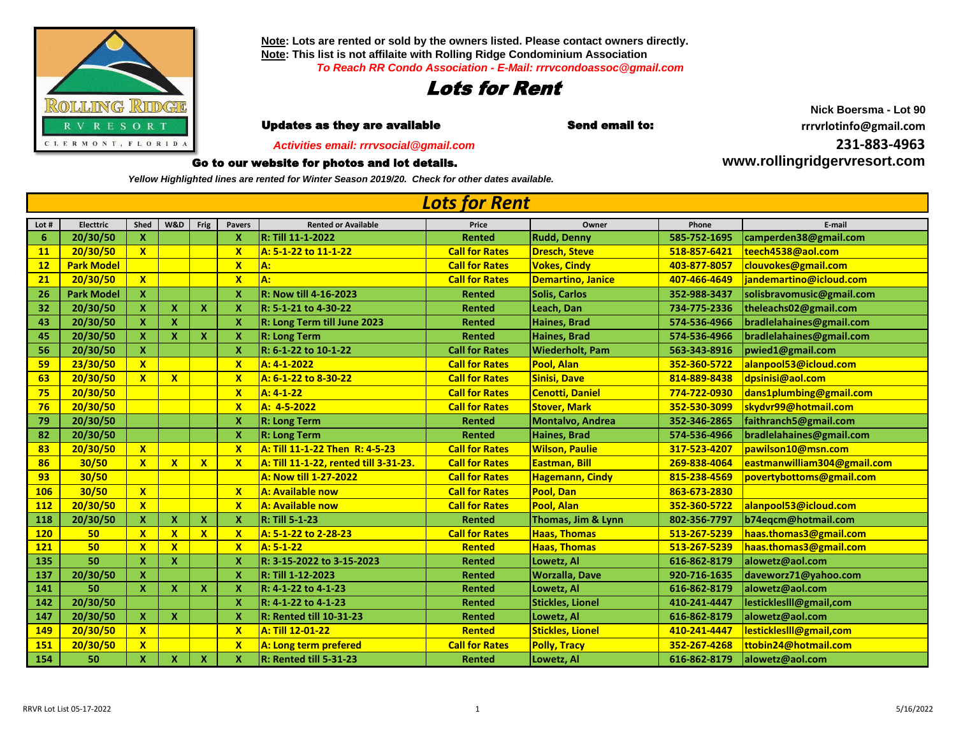

**Note: Lots are rented or sold by the owners listed. Please contact owners directly. Note: This list is not affilaite with Rolling Ridge Condominium Association** *To Reach RR Condo Association - E-Mail: rrrvcondoassoc@gmail.com*



**r i i Updates as they are available in the Send email to: the send of the community of the Updates as they are available** 

 *Activities email: rrrvsocial@gmail.com*

## Go to our website for photos and lot details.

*Yellow Highlighted lines are rented for Winter Season 2019/20. Check for other dates available.*

**Lot # Electtric Shed W&D Frig Pavers Rented or Available Price Owner Phone E-mail 20/30/50 X X R: Till 11-1-2022 Rented Rudd, Denny 585-752-1695 [camperden38@gmail.com](mailto:camperden38@gmail.com) 20/30/50 X X A: 5-1-22 to 11-1-22 Call for Rates Dresch, Steve 518-857-6421 [teech4538@aol.com](mailto:teech4538@aol.com) Park Model X A: Call for Rates Vokes, Cindy 403-877-8057 [clouvokes@gmail.com](mailto:clouvokes@gmail.com) 20/30/50 X X A: Call for Rates Demartino, Janice 407-466-4649 [jandemartino@icloud.com](mailto:jandemartino@icloud.com) Park Model X X R: Now till 4-16-2023 Rented Solis, Carlos 352-988-3437 [solisbravomusic@gmail.com](mailto:solisbravomusic@gmail.com) 20/30/50 X X X X R: 5-1-21 to 4-30-22 Rented Leach, Dan 734-775-2336 [theleachs02@gmail.com](mailto:theleachs02@gmail.com) 20/30/50 X X X R: Long Term till June 2023 Rented Haines, Brad 574-536-4966 [bradlelahaines@gmail.com](mailto:bradlelahaines@gmail.com) 20/30/50 X X X X R: Long Term Rented Haines, Brad 574-536-4966 [bradlelahaines@gmail.com](mailto:bradlelahaines@gmail.com) 20/30/50 X X R: 6-1-22 to 10-1-22 Call for Rates Wiederholt, Pam 563-343-8916 [pwied1@gmail.com](mailto:pwied1@gmail.com) 23/30/50 X X A: 4-1-2022 Call for Rates Pool, Alan 352-360-5722 [alanpool53@icloud.com](mailto:alanpool53@icloud.com) 20/30/50 X X X A: 6-1-22 to 8-30-22 Call for Rates Sinisi, Dave 814-889-8438 [dpsinisi@aol.com](mailto:dpsinisi@aol.com) 20/30/50 X A: 4-1-22 Call for Rates Cenotti, Daniel 774-722-0930 [dans1plumbing@gmail.com](mailto:dans1plumbing@gmail.com) 20/30/50 X A: 4-5-2022 Call for Rates Stover, Mark 352-530-3099 [skydvr99@hotmail.com](mailto:skydvr99@hotmail.com) 20/30/50 X R: Long Term Rented Montalvo, Andrea 352-346-2865 [faithranch5@gmail.com](mailto:faithranch5@gmail.com) 20/30/50 X R: Long Term Rented Haines, Brad 574-536-4966 [bradlelahaines@gmail.com](mailto:bradlelahaines@gmail.com) 20/30/50 X X A: Till 11-1-22 Then R: 4-5-23 Call for Rates Wilson, Paulie 317-523-4207 [pawilson10@msn.com](mailto:pawilson10@msn.com) 30/50 X X X X A: Till 11-1-22, rented till 3-31-23. Call for Rates Eastman, Bill 269-838-4064 [eastmanwilliam304@gmail.com](mailto:eastmanwilliam304@gmail.com) 30/50 A: Now till 1-27-2022 Call for Rates Hagemann, Cindy 815-238-4569 [povertybottoms@gmail.com](mailto:povertybottoms@gmail.com) 30/50 X X A: Available now Call for Rates Pool, Dan 863-673-2830 20/30/50 X X A: Available now Call for Rates Pool, Alan 352-360-5722 [alanpool53@icloud.com](mailto:alanpool53@icloud.com) 20/30/50 X X X X R: Till 5-1-23 Rented Thomas, Jim & Lynn 802-356-7797 [b74eqcm@hotmail.com](mailto:b74eqcm@hotmail.com) 50 X X X X A: 5-1-22 to 2-28-23 Call for Rates Haas, Thomas 513-267-5239 [haas.thomas3@gmail.com](mailto:haas.thomas3@gmail.com) 50 X X X A: 5-1-22 Rented Haas, Thomas 513-267-5239 [haas.thomas3@gmail.com](mailto:haas.thomas3@gmail.com) 50 X X X R: 3-15-2022 to 3-15-2023 Rented Lowetz, Al 616-862-8179 [alowetz@aol.com](mailto:alowetz@aol.com) 20/30/50 X X R: Till 1-12-2023 Rented Worzalla, Dave 920-716-1635 [daveworz71@yahoo.com](mailto:daveworz71@yahoo.com) 50 X X X X R: 4-1-22 to 4-1-23 Rented Lowetz, Al 616-862-8179 [alowetz@aol.com](mailto:alowetz@aol.com) 20/30/50 X R: 4-1-22 to 4-1-23 Rented Stickles, Lionel 410-241-4447 [lestickleslll@gmail,com](mailto:lestickleslll@gmail,com) 20/30/50 X X X R: Rented till 10-31-23 Rented Lowetz, Al 616-862-8179 [alowetz@aol.com](mailto:alowetz@aol.com) 20/30/50 X X A: Till 12-01-22 Rented Stickles, Lionel 410-241-4447 [lestickleslll@gmail,com](mailto:lestickleslll@gmail,com) 20/30/50 X X A: Long term prefered Call for Rates Polly, Tracy 352-267-4268 [ttobin24@hotmail.com](mailto:ttobin24@hotmail.com) 50 X X X X R: Rented till 5-31-23 Rented Lowetz, Al 616-862-8179 [alowetz@aol.com](mailto:alowetz@aol.com)** *Lots for Rent*

**Nick Boersma - Lot 90 31-883-4963**

**[ww](http://www.rollingridgervresort.com/)w.rollingridgervresort.com**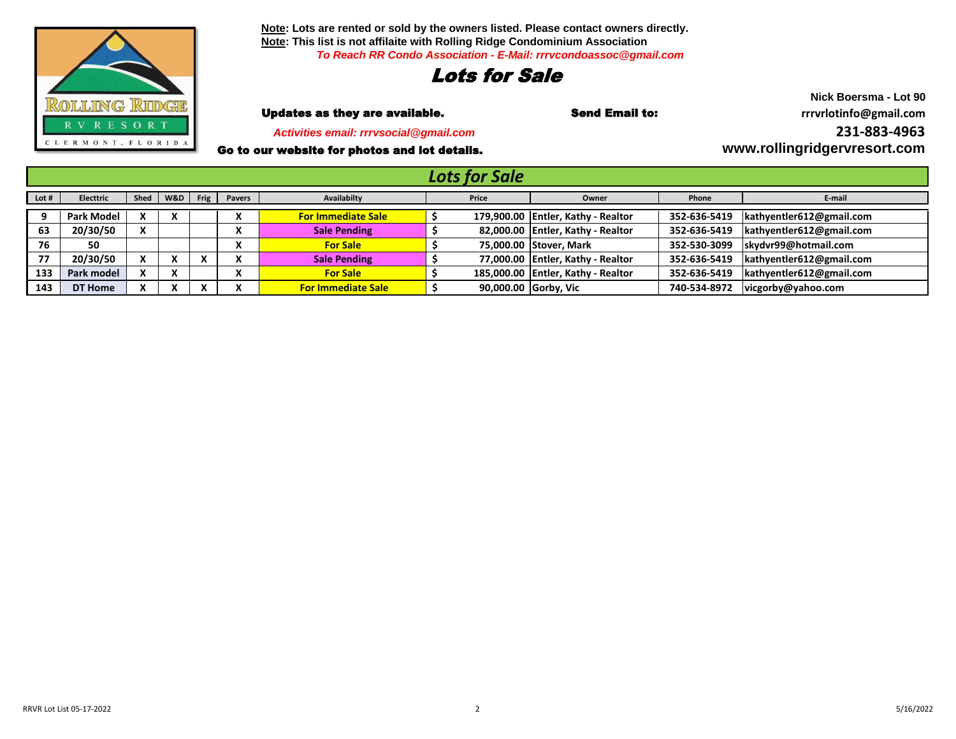

**Note: Lots are rented or sold by the owners listed. Please contact owners directly. Note: This list is not affilaite with Rolling Ridge Condominium Association** *To Reach RR Condo Association - E-Mail: rrrvcondoassoc@gmail.com*

## Lots for Sale

 *Activities email: rrrvsocial@gmail.com*

Go to our website for photos and lot details.

**Nick Boersma - Lot 90** Updates as they are available. Send Email to: **rrrvrlotinfo@gmail.com [2](mailto:rrrvrlotinfo@gmail.com)31-883-4963 [ww](http://www.rollingridgervresort.com/)w.rollingridgervresort.com**

| <b>Lots for Sale</b> |                   |              |                |      |               |                           |  |       |                                    |              |                          |
|----------------------|-------------------|--------------|----------------|------|---------------|---------------------------|--|-------|------------------------------------|--------------|--------------------------|
| Lot #                | Electtric         | Shed         | W&D            | Frig | <b>Pavers</b> | Availabilty               |  | Price | Owner                              | Phone        | E-mail                   |
|                      | <b>Park Model</b> |              | X              |      |               | <b>For Immediate Sale</b> |  |       | 179,900.00 Entler, Kathy - Realtor | 352-636-5419 | kathyentler612@gmail.com |
| 63                   | 20/30/50          | $\mathbf{v}$ |                |      |               | <b>Sale Pending</b>       |  |       | 82,000.00 Entler, Kathy - Realtor  | 352-636-5419 | kathyentler612@gmail.com |
| 76                   | 50                |              |                |      |               | <b>For Sale</b>           |  |       | 75,000.00 Stover, Mark             | 352-530-3099 | skydvr99@hotmail.com     |
| 77                   | 20/30/50          |              | v<br>$\lambda$ |      |               | <b>Sale Pending</b>       |  |       | 77,000.00 Entler, Kathy - Realtor  | 352-636-5419 | kathyentler612@gmail.com |
| 133                  | Park model        |              | X              |      |               | <b>For Sale</b>           |  |       | 185,000.00 Entler, Kathy - Realtor | 352-636-5419 | kathyentler612@gmail.com |
| 143                  | DT Home           |              | x              |      |               | <b>For Immediate Sale</b> |  |       | 90,000.00 Gorby, Vic               | 740-534-8972 | vicgorby@yahoo.com       |